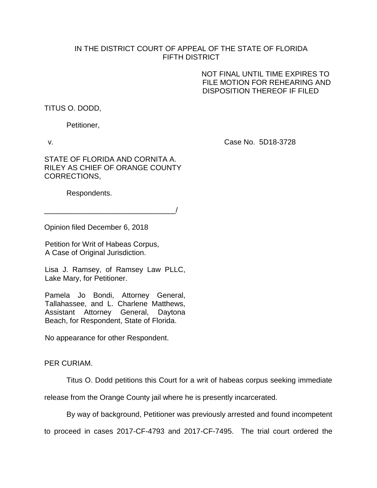## IN THE DISTRICT COURT OF APPEAL OF THE STATE OF FLORIDA FIFTH DISTRICT

 NOT FINAL UNTIL TIME EXPIRES TO FILE MOTION FOR REHEARING AND DISPOSITION THEREOF IF FILED

TITUS O. DODD,

Petitioner,

v. Case No. 5D18-3728

STATE OF FLORIDA AND CORNITA A. RILEY AS CHIEF OF ORANGE COUNTY CORRECTIONS,

Respondents.

\_\_\_\_\_\_\_\_\_\_\_\_\_\_\_\_\_\_\_\_\_\_\_\_\_\_\_\_\_\_\_\_/

Opinion filed December 6, 2018

Petition for Writ of Habeas Corpus, A Case of Original Jurisdiction.

Lisa J. Ramsey, of Ramsey Law PLLC, Lake Mary, for Petitioner.

Pamela Jo Bondi, Attorney General, Tallahassee, and L. Charlene Matthews, Assistant Attorney General, Daytona Beach, for Respondent, State of Florida.

No appearance for other Respondent.

## PER CURIAM.

Titus O. Dodd petitions this Court for a writ of habeas corpus seeking immediate

release from the Orange County jail where he is presently incarcerated.

By way of background, Petitioner was previously arrested and found incompetent

to proceed in cases 2017-CF-4793 and 2017-CF-7495. The trial court ordered the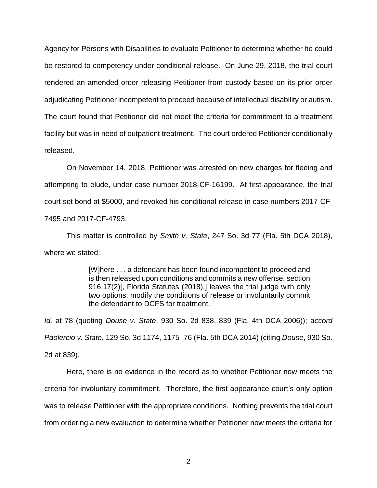Agency for Persons with Disabilities to evaluate Petitioner to determine whether he could be restored to competency under conditional release. On June 29, 2018, the trial court rendered an amended order releasing Petitioner from custody based on its prior order adjudicating Petitioner incompetent to proceed because of intellectual disability or autism. The court found that Petitioner did not meet the criteria for commitment to a treatment facility but was in need of outpatient treatment. The court ordered Petitioner conditionally released.

On November 14, 2018, Petitioner was arrested on new charges for fleeing and attempting to elude, under case number 2018-CF-16199. At first appearance, the trial court set bond at \$5000, and revoked his conditional release in case numbers 2017-CF-7495 and 2017-CF-4793.

This matter is controlled by *Smith v. State*, 247 So. 3d 77 (Fla. 5th DCA 2018), where we stated:

> [W]here . . . a defendant has been found incompetent to proceed and is then released upon conditions and commits a new offense, section 916.17(2)[, Florida Statutes (2018),] leaves the trial judge with only two options: modify the conditions of release or involuntarily commit the defendant to DCFS for treatment.

*Id.* at 78 (quoting *Douse v. State*, 930 So. 2d 838, 839 (Fla. 4th DCA 2006)); a*ccord Paolercio v. State*, 129 So. 3d 1174, 1175–76 (Fla. 5th DCA 2014) (citing *Douse*, 930 So. 2d at 839).

Here, there is no evidence in the record as to whether Petitioner now meets the criteria for involuntary commitment. Therefore, the first appearance court's only option was to release Petitioner with the appropriate conditions. Nothing prevents the trial court from ordering a new evaluation to determine whether Petitioner now meets the criteria for